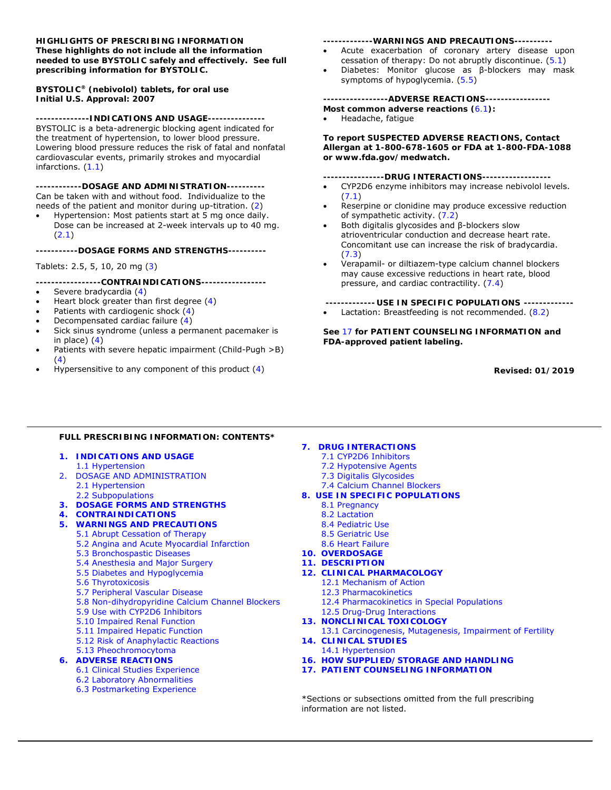# **HIGHLIGHTS OF PRESCRIBING INFORMATION These highlights do not include all the information needed to use BYSTOLIC safely and effectively. See full prescribing information for BYSTOLIC.**

# **BYSTOLIC® (nebivolol) tablets, for oral use Initial U.S. Approval: 2007**

**--------------INDICATIONS AND USAGE---------------** 

BYSTOLIC is a beta-adrenergic blocking agent indicated for the treatment of hypertension, to lower blood pressure. Lowering blood pressure reduces the risk of fatal and nonfatal cardiovascular events, primarily strokes and myocardial infarctions. (*1.1*)

**------------DOSAGE AND ADMINISTRATION----------**  Can be taken with and without food. Individualize to the needs of the patient and monitor during up-titration. (*2*)

 Hypertension: Most patients start at 5 mg once daily. Dose can be increased at 2-week intervals up to 40 mg. (*2.1*)

**-----------DOSAGE FORMS AND STRENGTHS----------** 

Tablets: 2.5, 5, 10, 20 mg (*3*)

**-----------------CONTRAINDICATIONS-----------------** 

- Severe bradycardia (*4*)
- Heart block greater than first degree (*4*)
- Patients with cardiogenic shock (*4*)
- Decompensated cardiac failure (*4*)
- Sick sinus syndrome (unless a permanent pacemaker is in place) (*4*)
- Patients with severe hepatic impairment (Child-Pugh >B) (*4*)
- Hypersensitive to any component of this product (*4*)

#### **-------------WARNINGS AND PRECAUTIONS----------**

- Acute exacerbation of coronary artery disease upon cessation of therapy: Do not abruptly discontinue. (*5.1*)
- Diabetes: Monitor glucose as β-blockers may mask symptoms of hypoglycemia. (*5.5*)

## **-----------------ADVERSE REACTIONS-----------------**

- **Most common adverse reactions (***6.1***):**
- Headache, fatigue

**To report SUSPECTED ADVERSE REACTIONS, Contact Allergan at 1-800-678-1605 or FDA at 1-800-FDA-1088 or www.fda.gov/medwatch.** 

# **----------------DRUG INTERACTIONS------------------**

- CYP2D6 enzyme inhibitors may increase nebivolol levels. (*7.1*)
- Reserpine or clonidine may produce excessive reduction of sympathetic activity. (*7.2*)
- Both digitalis glycosides and β-blockers slow atrioventricular conduction and decrease heart rate. Concomitant use can increase the risk of bradycardia. (*7.3*)
- Verapamil- or diltiazem-type calcium channel blockers may cause excessive reductions in heart rate, blood pressure, and cardiac contractility. (*7.4*)

**------------- USE IN SPECIFIC POPULATIONS -------------**

Lactation: Breastfeeding is not recommended. (*8.2*)

**See** *17* **for PATIENT COUNSELING INFORMATION and FDA-approved patient labeling.** 

**Revised: 01/2019** 

# **FULL PRESCRIBING INFORMATION: CONTENTS\***

- **1. INDICATIONS AND USAGE 1.1 Hypertension**<br> **1.1 Hypotensive Agents**<br> **1.2 Hypotensive Agents**<br> **7.3 Digitalis Glycosides**
- 2. DOSAGE AND ADMINISTRATION 2.1 Hypertension7.4 Calcium Channel Blockers
- **3. DOSAGE FORMS AND STRENGTHS** 8.1 Pregnancy
- **4. CONTRAINDICATIONS**8.2 Lactation
- **5. WARNINGS AND PRECAUTIONS**8.4 Pediatric Use
	- 5.1 Abrupt Cessation of Therapy8.5 Geriatric Use
		- 5.2 Angina and Acute Myocardial Infarction8.6 Heart Failure
		- 5.3 Bronchospastic Diseases **10. OVERDOSAGE**
		- 5.4 Anesthesia and Major Surgery **11. DESCRIPTION**
		- 5.5 Diabetes and Hypoglycemia **12. CLINICAL PHARMACOLOGY**
		- 5.6 Thyrotoxicosis12.1 Mechanism of Action
		- 5.7 Peripheral Vascular Disease12.3 Pharmacokinetics
		- 5.8 Non-dihydropyridine Calcium Channel Blockers12.4 Pharmacokinetics in Special Populations
		- 5.9 Use with CYP2D6 Inhibitors12.5 Drug-Drug Interactions
		- 5.10 Impaired Renal Function **13. NONCLINICAL TOXICOLOGY**
		-
		- 5.12 Risk of Anaphylactic Reactions **14. CLINICAL STUDIES**

# 5.13 Pheochromocytoma14.1 Hypertension

- -
	- 6.2 Laboratory Abnormalities
	- 6.3 Postmarketing Experience

# **7. DRUG INTERACTIONS**<br>7.1 CYP2D6 Inhibitors

- 
- 
- 
- 
- 2.2 Subpopulations **8. USE IN SPECIFIC POPULATIONS**
	-
	-
	-
	-
	-
	-
	-
	- -
		-
		-
		-
		-
- 5.11 Impaired Hepatic Function13.1 Carcinogenesis, Mutagenesis, Impairment of Fertility
	-
- **6. ADVERSE REACTIONS 16. HOW SUPPLIED/STORAGE AND HANDLING**
	- **17. PATIENT COUNSELING INFORMATION**

 \*Sections or subsections omitted from the full prescribing information are not listed.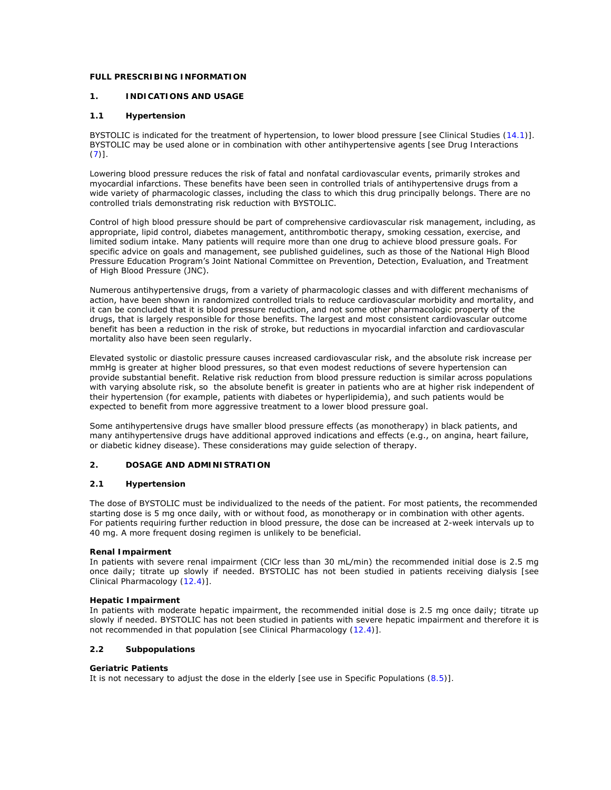# **FULL PRESCRIBING INFORMATION**

# **1. INDICATIONS AND USAGE**

# **1.1 Hypertension**

BYSTOLIC is indicated for the treatment of hypertension, to lower blood pressure *[see Clinical Studies (14.1)].* BYSTOLIC may be used alone or in combination with other antihypertensive agents *[see Drug Interactions (7)].*

Lowering blood pressure reduces the risk of fatal and nonfatal cardiovascular events, primarily strokes and myocardial infarctions. These benefits have been seen in controlled trials of antihypertensive drugs from a wide variety of pharmacologic classes, including the class to which this drug principally belongs. There are no controlled trials demonstrating risk reduction with BYSTOLIC.

Control of high blood pressure should be part of comprehensive cardiovascular risk management, including, as appropriate, lipid control, diabetes management, antithrombotic therapy, smoking cessation, exercise, and limited sodium intake. Many patients will require more than one drug to achieve blood pressure goals. For specific advice on goals and management, see published guidelines, such as those of the National High Blood Pressure Education Program's Joint National Committee on Prevention, Detection, Evaluation, and Treatment of High Blood Pressure (JNC).

Numerous antihypertensive drugs, from a variety of pharmacologic classes and with different mechanisms of action, have been shown in randomized controlled trials to reduce cardiovascular morbidity and mortality, and it can be concluded that it is blood pressure reduction, and not some other pharmacologic property of the drugs, that is largely responsible for those benefits. The largest and most consistent cardiovascular outcome benefit has been a reduction in the risk of stroke, but reductions in myocardial infarction and cardiovascular mortality also have been seen regularly.

Elevated systolic or diastolic pressure causes increased cardiovascular risk, and the absolute risk increase per mmHg is greater at higher blood pressures, so that even modest reductions of severe hypertension can provide substantial benefit. Relative risk reduction from blood pressure reduction is similar across populations with varying absolute risk, so the absolute benefit is greater in patients who are at higher risk independent of their hypertension (for example, patients with diabetes or hyperlipidemia), and such patients would be expected to benefit from more aggressive treatment to a lower blood pressure goal.

Some antihypertensive drugs have smaller blood pressure effects (as monotherapy) in black patients, and many antihypertensive drugs have additional approved indications and effects (e.g., on angina, heart failure, or diabetic kidney disease). These considerations may guide selection of therapy.

# **2. DOSAGE AND ADMINISTRATION**

# **2.1 Hypertension**

The dose of BYSTOLIC must be individualized to the needs of the patient. For most patients, the recommended starting dose is 5 mg once daily, with or without food, as monotherapy or in combination with other agents. For patients requiring further reduction in blood pressure, the dose can be increased at 2-week intervals up to 40 mg. A more frequent dosing regimen is unlikely to be beneficial.

# **Renal Impairment**

In patients with severe renal impairment (ClCr less than 30 mL/min) the recommended initial dose is 2.5 mg once daily; titrate up slowly if needed. BYSTOLIC has not been studied in patients receiving dialysis *[see Clinical Pharmacology (12.4)].*

# **Hepatic Impairment**

In patients with moderate hepatic impairment, the recommended initial dose is 2.5 mg once daily; titrate up slowly if needed. BYSTOLIC has not been studied in patients with severe hepatic impairment and therefore it is not recommended in that population *[see Clinical Pharmacology (12.4)].* 

# **2.2 Subpopulations**

# **Geriatric Patients**

It is not necessary to adjust the dose in the elderly *[see use in Specific Populations (8.5)].*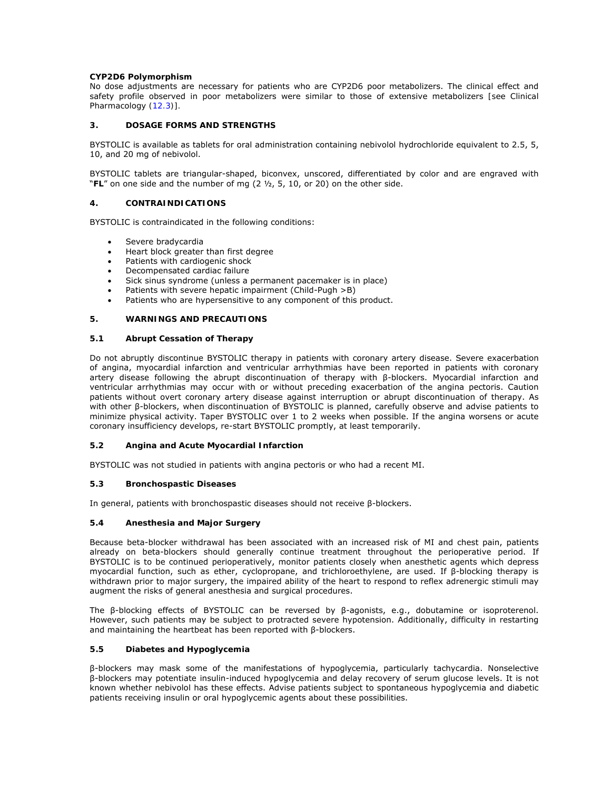# **CYP2D6 Polymorphism**

No dose adjustments are necessary for patients who are CYP2D6 poor metabolizers. The clinical effect and safety profile observed in poor metabolizers were similar to those of extensive metabolizers *[see Clinical Pharmacology (12.3)].* 

# **3. DOSAGE FORMS AND STRENGTHS**

BYSTOLIC is available as tablets for oral administration containing nebivolol hydrochloride equivalent to 2.5, 5, 10, and 20 mg of nebivolol.

BYSTOLIC tablets are triangular-shaped, biconvex, unscored, differentiated by color and are engraved with "**FL**" on one side and the number of mg (2 ½, 5, 10, or 20) on the other side.

# **4. CONTRAINDICATIONS**

BYSTOLIC is contraindicated in the following conditions:

- Severe bradycardia
- Heart block greater than first degree
- Patients with cardiogenic shock
- Decompensated cardiac failure
- Sick sinus syndrome (unless a permanent pacemaker is in place)
- Patients with severe hepatic impairment (Child-Pugh >B)
- Patients who are hypersensitive to any component of this product.

# **5. WARNINGS AND PRECAUTIONS**

# **5.1 Abrupt Cessation of Therapy**

Do not abruptly discontinue BYSTOLIC therapy in patients with coronary artery disease. Severe exacerbation of angina, myocardial infarction and ventricular arrhythmias have been reported in patients with coronary artery disease following the abrupt discontinuation of therapy with β-blockers. Myocardial infarction and ventricular arrhythmias may occur with or without preceding exacerbation of the angina pectoris. Caution patients without overt coronary artery disease against interruption or abrupt discontinuation of therapy. As with other β-blockers, when discontinuation of BYSTOLIC is planned, carefully observe and advise patients to minimize physical activity. Taper BYSTOLIC over 1 to 2 weeks when possible. If the angina worsens or acute coronary insufficiency develops, re-start BYSTOLIC promptly, at least temporarily.

# **5.2 Angina and Acute Myocardial Infarction**

BYSTOLIC was not studied in patients with angina pectoris or who had a recent MI.

# **5.3 Bronchospastic Diseases**

In general, patients with bronchospastic diseases should not receive β-blockers.

# **5.4 Anesthesia and Major Surgery**

Because beta-blocker withdrawal has been associated with an increased risk of MI and chest pain, patients already on beta-blockers should generally continue treatment throughout the perioperative period. If BYSTOLIC is to be continued perioperatively, monitor patients closely when anesthetic agents which depress myocardial function, such as ether, cyclopropane, and trichloroethylene, are used. If β-blocking therapy is withdrawn prior to major surgery, the impaired ability of the heart to respond to reflex adrenergic stimuli may augment the risks of general anesthesia and surgical procedures.

The β-blocking effects of BYSTOLIC can be reversed by β-agonists, e.g., dobutamine or isoproterenol. However, such patients may be subject to protracted severe hypotension. Additionally, difficulty in restarting and maintaining the heartbeat has been reported with β-blockers.

# **5.5 Diabetes and Hypoglycemia**

β-blockers may mask some of the manifestations of hypoglycemia, particularly tachycardia. Nonselective β-blockers may potentiate insulin-induced hypoglycemia and delay recovery of serum glucose levels. It is not known whether nebivolol has these effects. Advise patients subject to spontaneous hypoglycemia and diabetic patients receiving insulin or oral hypoglycemic agents about these possibilities.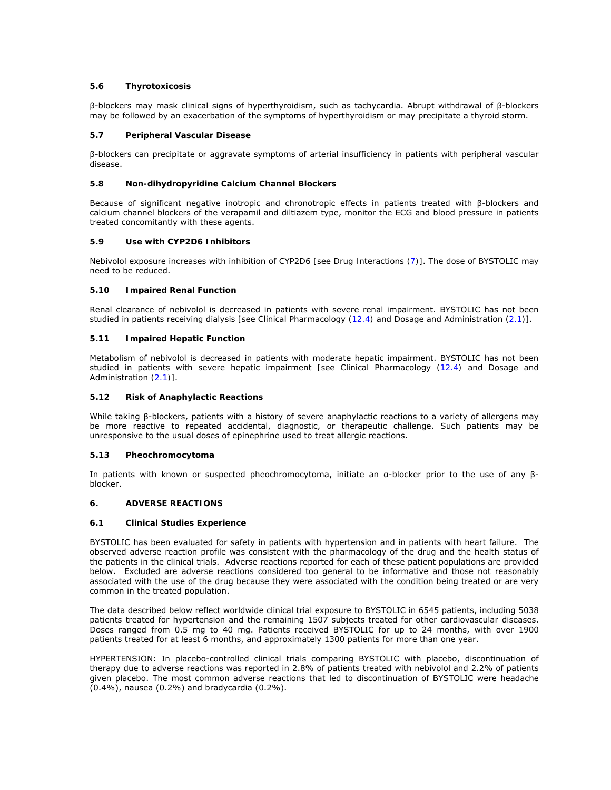# **5.6 Thyrotoxicosis**

β-blockers may mask clinical signs of hyperthyroidism, such as tachycardia. Abrupt withdrawal of β-blockers may be followed by an exacerbation of the symptoms of hyperthyroidism or may precipitate a thyroid storm.

# **5.7 Peripheral Vascular Disease**

β-blockers can precipitate or aggravate symptoms of arterial insufficiency in patients with peripheral vascular disease.

# **5.8 Non-dihydropyridine Calcium Channel Blockers**

Because of significant negative inotropic and chronotropic effects in patients treated with β-blockers and calcium channel blockers of the verapamil and diltiazem type, monitor the ECG and blood pressure in patients treated concomitantly with these agents.

# **5.9 Use with CYP2D6 Inhibitors**

Nebivolol exposure increases with inhibition of CYP2D6 *[see Drug Interactions (7)]*. The dose of BYSTOLIC may need to be reduced.

# **5.10 Impaired Renal Function**

Renal clearance of nebivolol is decreased in patients with severe renal impairment. BYSTOLIC has not been studied in patients receiving dialysis *[see Clinical Pharmacology (12.4) and Dosage and Administration (2.1)]*.

# **5.11 Impaired Hepatic Function**

Metabolism of nebivolol is decreased in patients with moderate hepatic impairment. BYSTOLIC has not been studied in patients with severe hepatic impairment *[see Clinical Pharmacology (12.4) and Dosage and Administration (2.1)]*.

# **5.12 Risk of Anaphylactic Reactions**

While taking β-blockers, patients with a history of severe anaphylactic reactions to a variety of allergens may be more reactive to repeated accidental, diagnostic, or therapeutic challenge. Such patients may be unresponsive to the usual doses of epinephrine used to treat allergic reactions.

# **5.13 Pheochromocytoma**

In patients with known or suspected pheochromocytoma, initiate an α-blocker prior to the use of any βblocker.

# **6. ADVERSE REACTIONS**

# **6.1 Clinical Studies Experience**

BYSTOLIC has been evaluated for safety in patients with hypertension and in patients with heart failure. The observed adverse reaction profile was consistent with the pharmacology of the drug and the health status of the patients in the clinical trials. Adverse reactions reported for each of these patient populations are provided below. Excluded are adverse reactions considered too general to be informative and those not reasonably associated with the use of the drug because they were associated with the condition being treated or are very common in the treated population.

The data described below reflect worldwide clinical trial exposure to BYSTOLIC in 6545 patients, including 5038 patients treated for hypertension and the remaining 1507 subjects treated for other cardiovascular diseases. Doses ranged from 0.5 mg to 40 mg. Patients received BYSTOLIC for up to 24 months, with over 1900 patients treated for at least 6 months, and approximately 1300 patients for more than one year.

HYPERTENSION: In placebo-controlled clinical trials comparing BYSTOLIC with placebo, discontinuation of therapy due to adverse reactions was reported in 2.8% of patients treated with nebivolol and 2.2% of patients given placebo. The most common adverse reactions that led to discontinuation of BYSTOLIC were headache (0.4%), nausea (0.2%) and bradycardia (0.2%).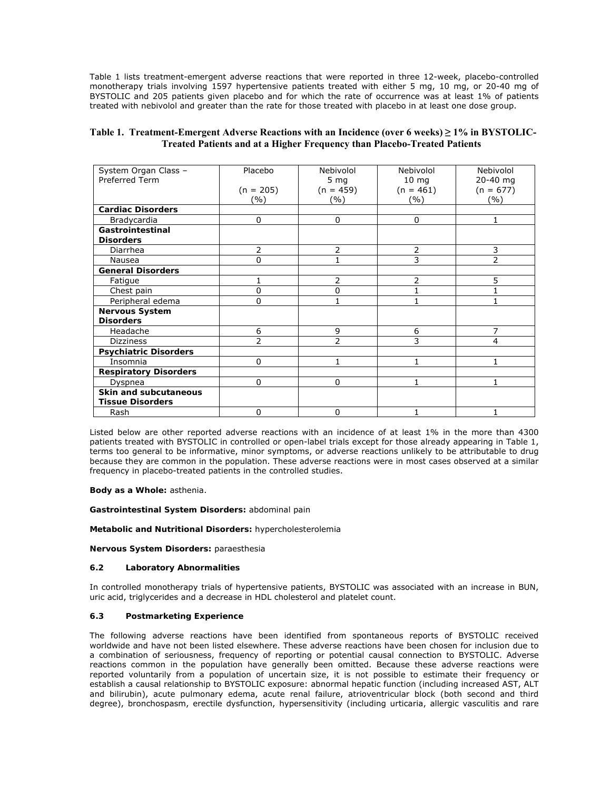Table 1 lists treatment-emergent adverse reactions that were reported in three 12-week, placebo-controlled monotherapy trials involving 1597 hypertensive patients treated with either 5 mg, 10 mg, or 20-40 mg of BYSTOLIC and 205 patients given placebo and for which the rate of occurrence was at least 1% of patients treated with nebivolol and greater than the rate for those treated with placebo in at least one dose group.

| Table 1. Treatment-Emergent Adverse Reactions with an Incidence (over 6 weeks) $\geq$ 1% in BYSTOLIC- |
|-------------------------------------------------------------------------------------------------------|
| <b>Treated Patients and at a Higher Frequency than Placebo-Treated Patients</b>                       |

| System Organ Class -         | Placebo        | Nebivolol                | Nebivolol       | Nebivolol   |
|------------------------------|----------------|--------------------------|-----------------|-------------|
| Preferred Term               |                | 5 <sub>mg</sub>          | $10 \text{ mg}$ | 20-40 mg    |
|                              | $(n = 205)$    | $(n = 459)$              | $(n = 461)$     | $(n = 677)$ |
|                              | (%)            | (%)                      | (%)             | ( %)        |
| <b>Cardiac Disorders</b>     |                |                          |                 |             |
| Bradycardia                  | 0              | $\Omega$                 | 0               |             |
| Gastrointestinal             |                |                          |                 |             |
| <b>Disorders</b>             |                |                          |                 |             |
| Diarrhea                     | 2              | 2                        | 2               | 3           |
| Nausea                       | 0              |                          | 3               | 2           |
| <b>General Disorders</b>     |                |                          |                 |             |
| Fatigue                      |                | 2                        | $\overline{2}$  | 5           |
| Chest pain                   | 0              | $\Omega$                 |                 |             |
| Peripheral edema             | 0              |                          | 1               |             |
| <b>Nervous System</b>        |                |                          |                 |             |
| <b>Disorders</b>             |                |                          |                 |             |
| Headache                     | 6              | 9                        | 6               | 7           |
| <b>Dizziness</b>             | $\overline{2}$ | $\overline{\phantom{a}}$ | 3               | 4           |
| <b>Psychiatric Disorders</b> |                |                          |                 |             |
| Insomnia                     | $\Omega$       | 1                        | 1               |             |
| <b>Respiratory Disorders</b> |                |                          |                 |             |
| Dyspnea                      | $\Omega$       | $\Omega$                 | 1               | 1           |
| <b>Skin and subcutaneous</b> |                |                          |                 |             |
| <b>Tissue Disorders</b>      |                |                          |                 |             |
| Rash                         | 0              | $\Omega$                 |                 |             |

Listed below are other reported adverse reactions with an incidence of at least 1% in the more than 4300 patients treated with BYSTOLIC in controlled or open-label trials except for those already appearing in Table 1, terms too general to be informative, minor symptoms, or adverse reactions unlikely to be attributable to drug because they are common in the population. These adverse reactions were in most cases observed at a similar frequency in placebo-treated patients in the controlled studies.

**Body as a Whole:** asthenia.

**Gastrointestinal System Disorders:** abdominal pain

**Metabolic and Nutritional Disorders:** hypercholesterolemia

**Nervous System Disorders:** paraesthesia

# **6.2 Laboratory Abnormalities**

In controlled monotherapy trials of hypertensive patients, BYSTOLIC was associated with an increase in BUN, uric acid, triglycerides and a decrease in HDL cholesterol and platelet count.

# **6.3 Postmarketing Experience**

The following adverse reactions have been identified from spontaneous reports of BYSTOLIC received worldwide and have not been listed elsewhere. These adverse reactions have been chosen for inclusion due to a combination of seriousness, frequency of reporting or potential causal connection to BYSTOLIC. Adverse reactions common in the population have generally been omitted. Because these adverse reactions were reported voluntarily from a population of uncertain size, it is not possible to estimate their frequency or establish a causal relationship to BYSTOLIC exposure: abnormal hepatic function (including increased AST, ALT and bilirubin), acute pulmonary edema, acute renal failure, atrioventricular block (both second and third degree), bronchospasm, erectile dysfunction, hypersensitivity (including urticaria, allergic vasculitis and rare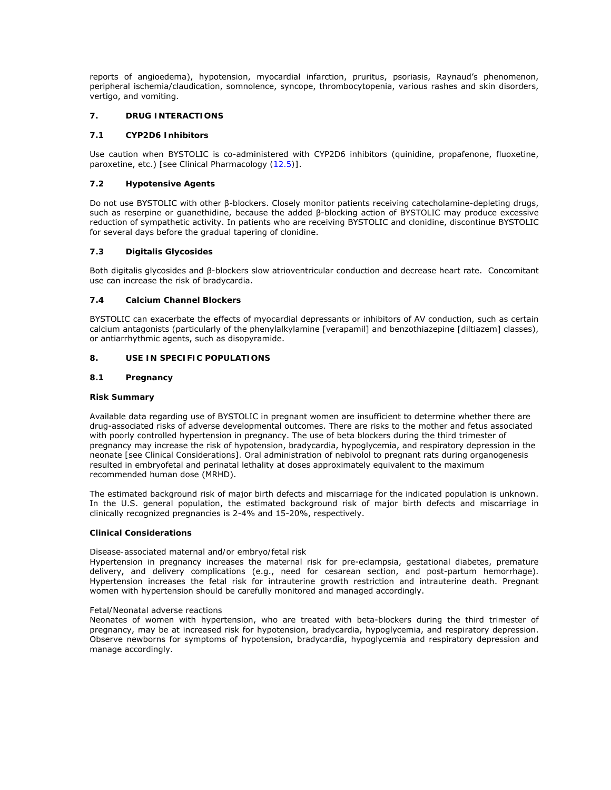reports of angioedema), hypotension, myocardial infarction, pruritus, psoriasis, Raynaud's phenomenon, peripheral ischemia/claudication, somnolence, syncope, thrombocytopenia, various rashes and skin disorders, vertigo, and vomiting.

# **7. DRUG INTERACTIONS**

# **7.1 CYP2D6 Inhibitors**

Use caution when BYSTOLIC is co-administered with CYP2D6 inhibitors (quinidine, propafenone, fluoxetine, paroxetine, etc.) *[see Clinical Pharmacology (12.5)]*.

# **7.2 Hypotensive Agents**

Do not use BYSTOLIC with other β-blockers. Closely monitor patients receiving catecholamine-depleting drugs, such as reserpine or guanethidine, because the added β-blocking action of BYSTOLIC may produce excessive reduction of sympathetic activity. In patients who are receiving BYSTOLIC and clonidine, discontinue BYSTOLIC for several days before the gradual tapering of clonidine.

# **7.3 Digitalis Glycosides**

Both digitalis glycosides and β-blockers slow atrioventricular conduction and decrease heart rate. Concomitant use can increase the risk of bradycardia.

# **7.4 Calcium Channel Blockers**

BYSTOLIC can exacerbate the effects of myocardial depressants or inhibitors of AV conduction, such as certain calcium antagonists (particularly of the phenylalkylamine [verapamil] and benzothiazepine [diltiazem] classes), or antiarrhythmic agents, such as disopyramide.

# **8. USE IN SPECIFIC POPULATIONS**

# **8.1 Pregnancy**

# **Risk Summary**

Available data regarding use of BYSTOLIC in pregnant women are insufficient to determine whether there are drug-associated risks of adverse developmental outcomes. There are risks to the mother and fetus associated with poorly controlled hypertension in pregnancy. The use of beta blockers during the third trimester of pregnancy may increase the risk of hypotension, bradycardia, hypoglycemia, and respiratory depression in the neonate *[see Clinical Considerations].* Oral administration of nebivolol to pregnant rats during organogenesis resulted in embryofetal and perinatal lethality at doses approximately equivalent to the maximum recommended human dose (MRHD).

The estimated background risk of major birth defects and miscarriage for the indicated population is unknown. In the U.S. general population, the estimated background risk of major birth defects and miscarriage in clinically recognized pregnancies is 2-4% and 15-20%, respectively.

# **Clinical Considerations**

# *Disease-associated maternal and/or embryo/fetal risk*

Hypertension in pregnancy increases the maternal risk for pre-eclampsia, gestational diabetes, premature delivery, and delivery complications (e.g., need for cesarean section, and post-partum hemorrhage). Hypertension increases the fetal risk for intrauterine growth restriction and intrauterine death. Pregnant women with hypertension should be carefully monitored and managed accordingly.

# *Fetal/Neonatal adverse reactions*

Neonates of women with hypertension, who are treated with beta-blockers during the third trimester of pregnancy, may be at increased risk for hypotension, bradycardia, hypoglycemia, and respiratory depression. Observe newborns for symptoms of hypotension, bradycardia, hypoglycemia and respiratory depression and manage accordingly.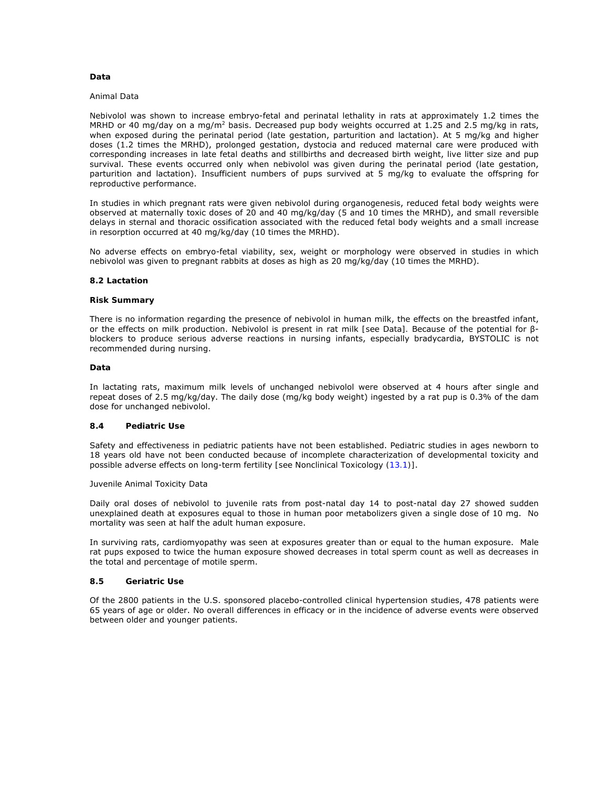# **Data**

#### *Animal Data*

Nebivolol was shown to increase embryo-fetal and perinatal lethality in rats at approximately 1.2 times the MRHD or 40 mg/day on a mg/m<sup>2</sup> basis. Decreased pup body weights occurred at 1.25 and 2.5 mg/kg in rats, when exposed during the perinatal period (late gestation, parturition and lactation). At 5 mg/kg and higher doses (1.2 times the MRHD), prolonged gestation, dystocia and reduced maternal care were produced with corresponding increases in late fetal deaths and stillbirths and decreased birth weight, live litter size and pup survival. These events occurred only when nebivolol was given during the perinatal period (late gestation, parturition and lactation). Insufficient numbers of pups survived at 5 mg/kg to evaluate the offspring for reproductive performance.

In studies in which pregnant rats were given nebivolol during organogenesis, reduced fetal body weights were observed at maternally toxic doses of 20 and 40 mg/kg/day (5 and 10 times the MRHD), and small reversible delays in sternal and thoracic ossification associated with the reduced fetal body weights and a small increase in resorption occurred at 40 mg/kg/day (10 times the MRHD).

No adverse effects on embryo-fetal viability, sex, weight or morphology were observed in studies in which nebivolol was given to pregnant rabbits at doses as high as 20 mg/kg/day (10 times the MRHD).

## **8.2 Lactation**

#### **Risk Summary**

There is no information regarding the presence of nebivolol in human milk, the effects on the breastfed infant, or the effects on milk production. Nebivolol is present in rat milk *[see Data].* Because of the potential for βblockers to produce serious adverse reactions in nursing infants, especially bradycardia, BYSTOLIC is not recommended during nursing.

## **Data**

In lactating rats, maximum milk levels of unchanged nebivolol were observed at 4 hours after single and repeat doses of 2.5 mg/kg/day. The daily dose (mg/kg body weight) ingested by a rat pup is 0.3% of the dam dose for unchanged nebivolol.

# **8.4 Pediatric Use**

Safety and effectiveness in pediatric patients have not been established. Pediatric studies in ages newborn to 18 years old have not been conducted because of incomplete characterization of developmental toxicity and possible adverse effects on long-term fertility *[see Nonclinical Toxicology (13.1)]*.

#### Juvenile Animal Toxicity Data

Daily oral doses of nebivolol to juvenile rats from post-natal day 14 to post-natal day 27 showed sudden unexplained death at exposures equal to those in human poor metabolizers given a single dose of 10 mg. No mortality was seen at half the adult human exposure.

In surviving rats, cardiomyopathy was seen at exposures greater than or equal to the human exposure. Male rat pups exposed to twice the human exposure showed decreases in total sperm count as well as decreases in the total and percentage of motile sperm.

#### **8.5 Geriatric Use**

Of the 2800 patients in the U.S. sponsored placebo-controlled clinical hypertension studies, 478 patients were 65 years of age or older. No overall differences in efficacy or in the incidence of adverse events were observed between older and younger patients.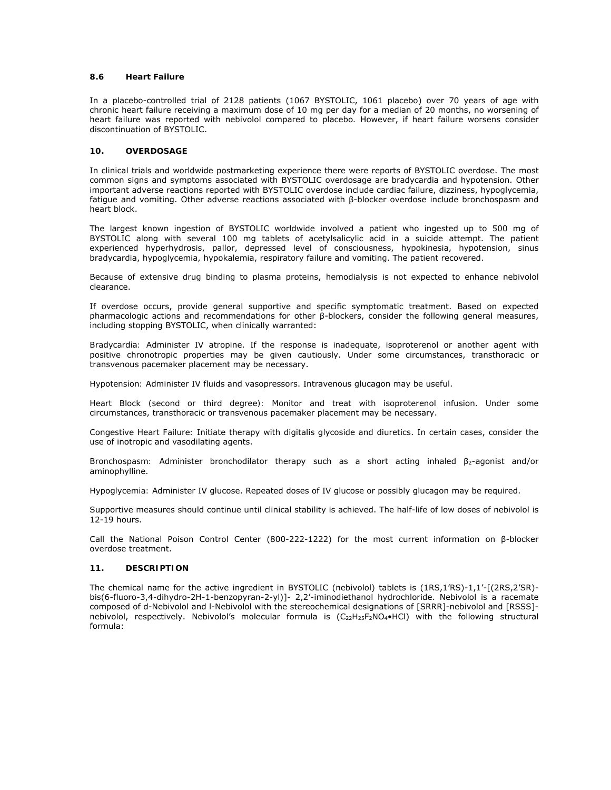# **8.6 Heart Failure**

In a placebo-controlled trial of 2128 patients (1067 BYSTOLIC, 1061 placebo) over 70 years of age with chronic heart failure receiving a maximum dose of 10 mg per day for a median of 20 months, no worsening of heart failure was reported with nebivolol compared to placebo*.* However, if heart failure worsens consider discontinuation of BYSTOLIC.

# **10. OVERDOSAGE**

In clinical trials and worldwide postmarketing experience there were reports of BYSTOLIC overdose. The most common signs and symptoms associated with BYSTOLIC overdosage are bradycardia and hypotension. Other important adverse reactions reported with BYSTOLIC overdose include cardiac failure, dizziness, hypoglycemia, fatigue and vomiting. Other adverse reactions associated with β-blocker overdose include bronchospasm and heart block.

The largest known ingestion of BYSTOLIC worldwide involved a patient who ingested up to 500 mg of BYSTOLIC along with several 100 mg tablets of acetylsalicylic acid in a suicide attempt. The patient experienced hyperhydrosis, pallor, depressed level of consciousness, hypokinesia, hypotension, sinus bradycardia, hypoglycemia, hypokalemia, respiratory failure and vomiting. The patient recovered.

Because of extensive drug binding to plasma proteins, hemodialysis is not expected to enhance nebivolol clearance.

If overdose occurs, provide general supportive and specific symptomatic treatment. Based on expected pharmacologic actions and recommendations for other β-blockers, consider the following general measures, including stopping BYSTOLIC, when clinically warranted:

*Bradycardia:* Administer IV atropine. If the response is inadequate, isoproterenol or another agent with positive chronotropic properties may be given cautiously. Under some circumstances, transthoracic or transvenous pacemaker placement may be necessary.

*Hypotension:* Administer IV fluids and vasopressors. Intravenous glucagon may be useful.

*Heart Block (second or third degree):* Monitor and treat with isoproterenol infusion. Under some circumstances, transthoracic or transvenous pacemaker placement may be necessary.

*Congestive Heart Failure:* Initiate therapy with digitalis glycoside and diuretics. In certain cases, consider the use of inotropic and vasodilating agents.

*Bronchospasm:* Administer bronchodilator therapy such as a short acting inhaled β2-agonist and/or aminophylline.

*Hypoglycemia:* Administer IV glucose. Repeated doses of IV glucose or possibly glucagon may be required.

Supportive measures should continue until clinical stability is achieved. The half-life of low doses of nebivolol is 12-19 hours.

Call the National Poison Control Center (800-222-1222) for the most current information on β-blocker overdose treatment.

# **11. DESCRIPTION**

The chemical name for the active ingredient in BYSTOLIC (nebivolol) tablets is (1RS,1'RS)-1,1'-[(2RS,2'SR) bis(6-fluoro-3,4-dihydro-2H-1-benzopyran-2-yl)]- 2,2'-iminodiethanol hydrochloride. Nebivolol is a racemate composed of d-Nebivolol and l-Nebivolol with the stereochemical designations of [SRRR]-nebivolol and [RSSS] nebivolol, respectively. Nebivolol's molecular formula is  $(C_{22}H_{25}F_2NO_4 \cdot HCl)$  with the following structural formula: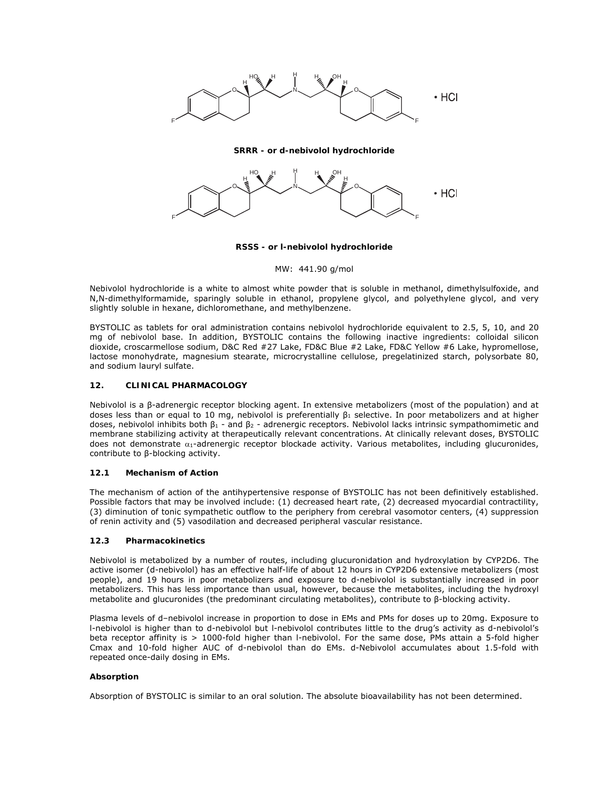

#### **SRRR - or d-nebivolol hydrochloride**



#### **RSSS - or l-nebivolol hydrochloride**

## MW: 441.90 g/mol

Nebivolol hydrochloride is a white to almost white powder that is soluble in methanol, dimethylsulfoxide, and N,N-dimethylformamide, sparingly soluble in ethanol, propylene glycol, and polyethylene glycol, and very slightly soluble in hexane, dichloromethane, and methylbenzene.

BYSTOLIC as tablets for oral administration contains nebivolol hydrochloride equivalent to 2.5, 5, 10, and 20 mg of nebivolol base. In addition, BYSTOLIC contains the following inactive ingredients: colloidal silicon dioxide, croscarmellose sodium, D&C Red #27 Lake, FD&C Blue #2 Lake, FD&C Yellow #6 Lake, hypromellose, lactose monohydrate, magnesium stearate, microcrystalline cellulose, pregelatinized starch, polysorbate 80, and sodium lauryl sulfate.

# **12. CLINICAL PHARMACOLOGY**

Nebivolol is a β-adrenergic receptor blocking agent. In extensive metabolizers (most of the population) and at doses less than or equal to 10 mg, nebivolol is preferentially β1 selective. In poor metabolizers and at higher doses, nebivolol inhibits both  $\beta_1$  - and  $\beta_2$  - adrenergic receptors. Nebivolol lacks intrinsic sympathomimetic and membrane stabilizing activity at therapeutically relevant concentrations. At clinically relevant doses, BYSTOLIC does not demonstrate  $\alpha_1$ -adrenergic receptor blockade activity. Various metabolites, including glucuronides, contribute to β-blocking activity.

# **12.1 Mechanism of Action**

The mechanism of action of the antihypertensive response of BYSTOLIC has not been definitively established. Possible factors that may be involved include: (1) decreased heart rate, (2) decreased myocardial contractility, (3) diminution of tonic sympathetic outflow to the periphery from cerebral vasomotor centers, (4) suppression of renin activity and (5) vasodilation and decreased peripheral vascular resistance.

# **12.3 Pharmacokinetics**

Nebivolol is metabolized by a number of routes, including glucuronidation and hydroxylation by CYP2D6. The active isomer (d-nebivolol) has an effective half-life of about 12 hours in CYP2D6 extensive metabolizers (most people), and 19 hours in poor metabolizers and exposure to d-nebivolol is substantially increased in poor metabolizers. This has less importance than usual, however, because the metabolites, including the hydroxyl metabolite and glucuronides (the predominant circulating metabolites), contribute to β-blocking activity.

Plasma levels of d–nebivolol increase in proportion to dose in EMs and PMs for doses up to 20mg. Exposure to l-nebivolol is higher than to d-nebivolol but l-nebivolol contributes little to the drug's activity as d-nebivolol's beta receptor affinity is > 1000-fold higher than l-nebivolol. For the same dose, PMs attain a 5-fold higher Cmax and 10-fold higher AUC of d-nebivolol than do EMs. d-Nebivolol accumulates about 1.5-fold with repeated once-daily dosing in EMs.

# **Absorption**

Absorption of BYSTOLIC is similar to an oral solution. The absolute bioavailability has not been determined.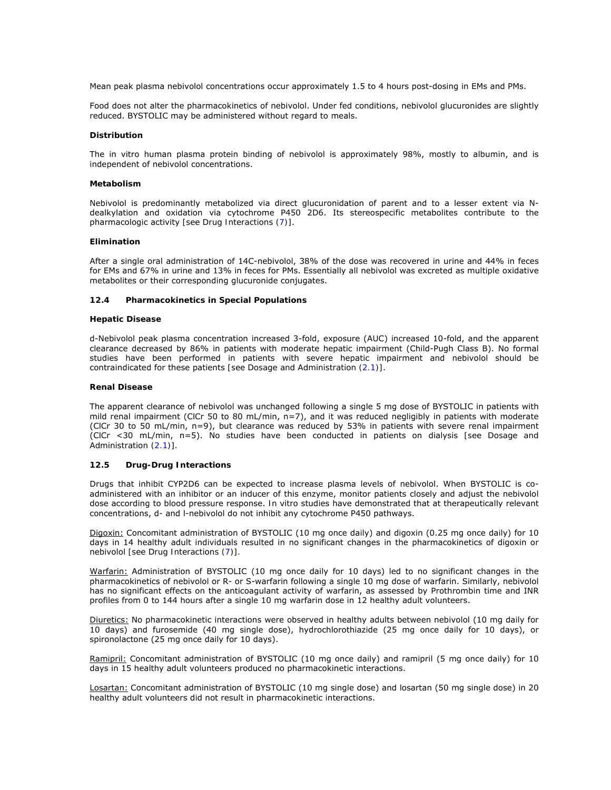Mean peak plasma nebivolol concentrations occur approximately 1.5 to 4 hours post-dosing in EMs and PMs.

Food does not alter the pharmacokinetics of nebivolol. Under fed conditions, nebivolol glucuronides are slightly reduced. BYSTOLIC may be administered without regard to meals.

#### **Distribution**

The in vitro human plasma protein binding of nebivolol is approximately 98%, mostly to albumin, and is independent of nebivolol concentrations.

#### **Metabolism**

Nebivolol is predominantly metabolized via direct glucuronidation of parent and to a lesser extent via Ndealkylation and oxidation via cytochrome P450 2D6. Its stereospecific metabolites contribute to the pharmacologic activity *[see Drug Interactions (7)]*.

#### **Elimination**

After a single oral administration of 14C-nebivolol, 38% of the dose was recovered in urine and 44% in feces for EMs and 67% in urine and 13% in feces for PMs. Essentially all nebivolol was excreted as multiple oxidative metabolites or their corresponding glucuronide conjugates.

#### **12.4 Pharmacokinetics in Special Populations**

#### **Hepatic Disease**

d-Nebivolol peak plasma concentration increased 3-fold, exposure (AUC) increased 10-fold, and the apparent clearance decreased by 86% in patients with moderate hepatic impairment (Child-Pugh Class B). No formal studies have been performed in patients with severe hepatic impairment and nebivolol should be contraindicated for these patients *[see Dosage and Administration (2.1)]*.

#### **Renal Disease**

The apparent clearance of nebivolol was unchanged following a single 5 mg dose of BYSTOLIC in patients with mild renal impairment (ClCr 50 to 80 mL/min, n=7), and it was reduced negligibly in patients with moderate (ClCr 30 to 50 mL/min, n=9), but clearance was reduced by 53% in patients with severe renal impairment (ClCr <30 mL/min, n=5). No studies have been conducted in patients on dialysis *[see Dosage and Administration (2.1)].*

# **12.5 Drug-Drug Interactions**

Drugs that inhibit CYP2D6 can be expected to increase plasma levels of nebivolol. When BYSTOLIC is coadministered with an inhibitor or an inducer of this enzyme, monitor patients closely and adjust the nebivolol dose according to blood pressure response. *In vitro* studies have demonstrated that at therapeutically relevant concentrations, d- and l-nebivolol do not inhibit any cytochrome P450 pathways.

Digoxin: Concomitant administration of BYSTOLIC (10 mg once daily) and digoxin (0.25 mg once daily) for 10 days in 14 healthy adult individuals resulted in no significant changes in the pharmacokinetics of digoxin or nebivolol *[see Drug Interactions (7)].*

Warfarin: Administration of BYSTOLIC (10 mg once daily for 10 days) led to no significant changes in the pharmacokinetics of nebivolol or R- or S-warfarin following a single 10 mg dose of warfarin. Similarly, nebivolol has no significant effects on the anticoagulant activity of warfarin, as assessed by Prothrombin time and INR profiles from 0 to 144 hours after a single 10 mg warfarin dose in 12 healthy adult volunteers.

Diuretics: No pharmacokinetic interactions were observed in healthy adults between nebivolol (10 mg daily for 10 days) and furosemide (40 mg single dose), hydrochlorothiazide (25 mg once daily for 10 days), or spironolactone (25 mg once daily for 10 days).

Ramipril: Concomitant administration of BYSTOLIC (10 mg once daily) and ramipril (5 mg once daily) for 10 days in 15 healthy adult volunteers produced no pharmacokinetic interactions.

Losartan: Concomitant administration of BYSTOLIC (10 mg single dose) and losartan (50 mg single dose) in 20 healthy adult volunteers did not result in pharmacokinetic interactions.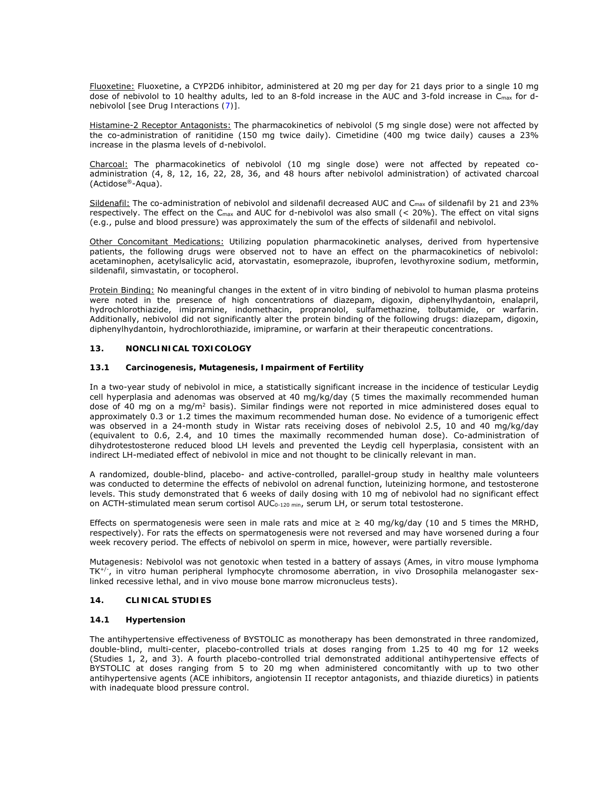Fluoxetine: Fluoxetine, a CYP2D6 inhibitor, administered at 20 mg per day for 21 days prior to a single 10 mg dose of nebivolol to 10 healthy adults, led to an 8-fold increase in the AUC and 3-fold increase in C<sub>max</sub> for dnebivolol *[see Drug Interactions (7)].*

Histamine-2 Receptor Antagonists: The pharmacokinetics of nebivolol (5 mg single dose) were not affected by the co-administration of ranitidine (150 mg twice daily). Cimetidine (400 mg twice daily) causes a 23% increase in the plasma levels of d-nebivolol.

Charcoal: The pharmacokinetics of nebivolol (10 mg single dose) were not affected by repeated coadministration (4, 8, 12, 16, 22, 28, 36, and 48 hours after nebivolol administration) of activated charcoal (Actidose®-Aqua).

Sildenafil: The co-administration of nebivolol and sildenafil decreased AUC and C<sub>max</sub> of sildenafil by 21 and 23% respectively. The effect on the C<sub>max</sub> and AUC for d-nebivolol was also small  $( $20\%$ ). The effect on vital signs$ (e.g., pulse and blood pressure) was approximately the sum of the effects of sildenafil and nebivolol.

Other Concomitant Medications: Utilizing population pharmacokinetic analyses, derived from hypertensive patients, the following drugs were observed not to have an effect on the pharmacokinetics of nebivolol: acetaminophen, acetylsalicylic acid, atorvastatin, esomeprazole, ibuprofen, levothyroxine sodium, metformin, sildenafil, simvastatin, or tocopherol.

Protein Binding: No meaningful changes in the extent of *in vitro* binding of nebivolol to human plasma proteins were noted in the presence of high concentrations of diazepam, digoxin, diphenylhydantoin, enalapril, hydrochlorothiazide, imipramine, indomethacin, propranolol, sulfamethazine, tolbutamide, or warfarin. Additionally, nebivolol did not significantly alter the protein binding of the following drugs: diazepam, digoxin, diphenylhydantoin, hydrochlorothiazide, imipramine, or warfarin at their therapeutic concentrations.

# **13. NONCLINICAL TOXICOLOGY**

# **13.1 Carcinogenesis, Mutagenesis, Impairment of Fertility**

In a two-year study of nebivolol in mice, a statistically significant increase in the incidence of testicular Leydig cell hyperplasia and adenomas was observed at 40 mg/kg/day (5 times the maximally recommended human dose of 40 mg on a mg/m<sup>2</sup> basis). Similar findings were not reported in mice administered doses equal to approximately 0.3 or 1.2 times the maximum recommended human dose. No evidence of a tumorigenic effect was observed in a 24-month study in Wistar rats receiving doses of nebivolol 2.5, 10 and 40 mg/kg/day (equivalent to 0.6, 2.4, and 10 times the maximally recommended human dose). Co-administration of dihydrotestosterone reduced blood LH levels and prevented the Leydig cell hyperplasia, consistent with an indirect LH-mediated effect of nebivolol in mice and not thought to be clinically relevant in man.

A randomized, double-blind, placebo- and active-controlled, parallel-group study in healthy male volunteers was conducted to determine the effects of nebivolol on adrenal function, luteinizing hormone, and testosterone levels. This study demonstrated that 6 weeks of daily dosing with 10 mg of nebivolol had no significant effect on ACTH-stimulated mean serum cortisol AUC<sub>0-120 min</sub>, serum LH, or serum total testosterone.

Effects on spermatogenesis were seen in male rats and mice at  $\geq 40$  mg/kg/day (10 and 5 times the MRHD, respectively). For rats the effects on spermatogenesis were not reversed and may have worsened during a four week recovery period. The effects of nebivolol on sperm in mice, however, were partially reversible.

Mutagenesis: Nebivolol was not genotoxic when tested in a battery of assays (Ames, *in vitro* mouse lymphoma TK+/-, *in vitro* human peripheral lymphocyte chromosome aberration, *in vivo* Drosophila melanogaster sexlinked recessive lethal, and *in vivo* mouse bone marrow micronucleus tests).

# **14. CLINICAL STUDIES**

# **14.1 Hypertension**

The antihypertensive effectiveness of BYSTOLIC as monotherapy has been demonstrated in three randomized, double-blind, multi-center, placebo-controlled trials at doses ranging from 1.25 to 40 mg for 12 weeks (Studies 1, 2, and 3). A fourth placebo-controlled trial demonstrated additional antihypertensive effects of BYSTOLIC at doses ranging from 5 to 20 mg when administered concomitantly with up to two other antihypertensive agents (ACE inhibitors, angiotensin II receptor antagonists, and thiazide diuretics) in patients with inadequate blood pressure control.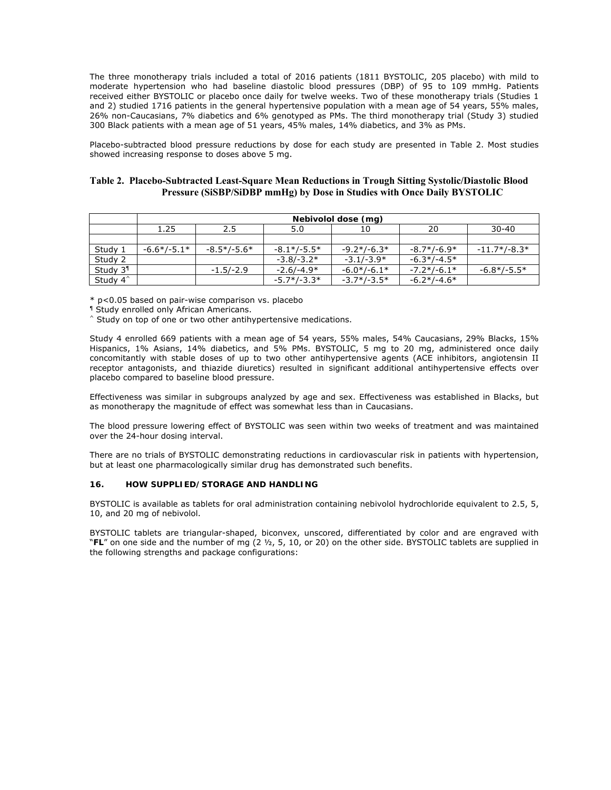The three monotherapy trials included a total of 2016 patients (1811 BYSTOLIC, 205 placebo) with mild to moderate hypertension who had baseline diastolic blood pressures (DBP) of 95 to 109 mmHg. Patients received either BYSTOLIC or placebo once daily for twelve weeks. Two of these monotherapy trials (Studies 1 and 2) studied 1716 patients in the general hypertensive population with a mean age of 54 years, 55% males, 26% non-Caucasians, 7% diabetics and 6% genotyped as PMs. The third monotherapy trial (Study 3) studied 300 Black patients with a mean age of 51 years, 45% males, 14% diabetics, and 3% as PMs.

Placebo-subtracted blood pressure reductions by dose for each study are presented in Table 2. Most studies showed increasing response to doses above 5 mg.

# **Table 2. Placebo-Subtracted Least-Square Mean Reductions in Trough Sitting Systolic/Diastolic Blood Pressure (SiSBP/SiDBP mmHg) by Dose in Studies with Once Daily BYSTOLIC**

|                      | Nebivolol dose (mg) |               |               |               |               |                |
|----------------------|---------------------|---------------|---------------|---------------|---------------|----------------|
|                      | 1.25                | 2.5           | 5.0           | 10            | 20            | $30 - 40$      |
|                      |                     |               |               |               |               |                |
| Study 1              | $-6.6*/-5.1*$       | $-8.5*/-5.6*$ | $-8.1*/-5.5*$ | $-9.2*/-6.3*$ | $-8.7*/-6.9*$ | $-11.7*/-8.3*$ |
| Study 2              |                     |               | $-3.8/-3.2*$  | $-3.1/-3.9*$  | $-6.3*/-4.5*$ |                |
| Study 3 <sup>1</sup> |                     | $-1.5/-2.9$   | $-2.6/-4.9*$  | $-6.0*/-6.1*$ | $-7.2*/-6.1*$ | $-6.8*/-5.5*$  |
| Study 4 <sup>^</sup> |                     |               | $-5.7*/-3.3*$ | $-3.7*/-3.5*$ | $-6.2*/-4.6*$ |                |

\* p<0.05 based on pair-wise comparison vs. placebo

¶ Study enrolled only African Americans.

 $\hat{ }$  Study on top of one or two other antihypertensive medications.

Study 4 enrolled 669 patients with a mean age of 54 years, 55% males, 54% Caucasians, 29% Blacks, 15% Hispanics, 1% Asians, 14% diabetics, and 5% PMs. BYSTOLIC, 5 mg to 20 mg, administered once daily concomitantly with stable doses of up to two other antihypertensive agents (ACE inhibitors, angiotensin II receptor antagonists, and thiazide diuretics) resulted in significant additional antihypertensive effects over placebo compared to baseline blood pressure.

Effectiveness was similar in subgroups analyzed by age and sex. Effectiveness was established in Blacks, but as monotherapy the magnitude of effect was somewhat less than in Caucasians.

The blood pressure lowering effect of BYSTOLIC was seen within two weeks of treatment and was maintained over the 24-hour dosing interval.

There are no trials of BYSTOLIC demonstrating reductions in cardiovascular risk in patients with hypertension, but at least one pharmacologically similar drug has demonstrated such benefits.

# **16. HOW SUPPLIED/STORAGE AND HANDLING**

BYSTOLIC is available as tablets for oral administration containing nebivolol hydrochloride equivalent to 2.5, 5, 10, and 20 mg of nebivolol.

BYSTOLIC tablets are triangular-shaped, biconvex, unscored, differentiated by color and are engraved with "**FL**" on one side and the number of mg (2 ½, 5, 10, or 20) on the other side. BYSTOLIC tablets are supplied in the following strengths and package configurations: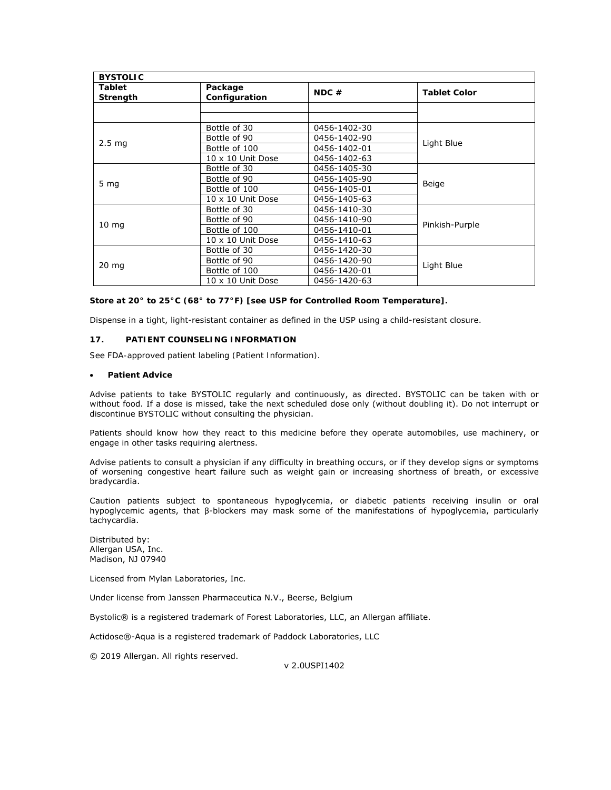| <b>BYSTOLIC</b>           |                                      |              |                     |  |  |
|---------------------------|--------------------------------------|--------------|---------------------|--|--|
| <b>Tablet</b><br>Strength | Package<br>$NDC \#$<br>Configuration |              | <b>Tablet Color</b> |  |  |
|                           |                                      |              |                     |  |  |
|                           |                                      |              |                     |  |  |
|                           | Bottle of 30                         | 0456-1402-30 |                     |  |  |
|                           | Bottle of 90                         | 0456-1402-90 |                     |  |  |
| 2.5 <sub>ma</sub>         | Bottle of 100                        | 0456-1402-01 | Light Blue          |  |  |
|                           | $10 \times 10$ Unit Dose             | 0456-1402-63 |                     |  |  |
|                           | Bottle of 30                         | 0456-1405-30 |                     |  |  |
|                           | Bottle of 90                         | 0456-1405-90 |                     |  |  |
| 5 <sub>mg</sub>           | Bottle of 100                        | 0456-1405-01 | Beige               |  |  |
|                           | $10 \times 10$ Unit Dose             | 0456-1405-63 |                     |  |  |
|                           | Bottle of 30                         | 0456-1410-30 |                     |  |  |
|                           | Bottle of 90                         | 0456-1410-90 |                     |  |  |
| $10 \text{ mg}$           | Bottle of 100                        | 0456-1410-01 | Pinkish-Purple      |  |  |
|                           | $10 \times 10$ Unit Dose             | 0456-1410-63 |                     |  |  |
|                           | Bottle of 30                         | 0456-1420-30 |                     |  |  |
|                           | Bottle of 90                         | 0456-1420-90 | Light Blue          |  |  |
| $20 \text{ mg}$           | Bottle of 100                        | 0456-1420-01 |                     |  |  |
|                           | $10 \times 10$ Unit Dose             | 0456-1420-63 |                     |  |  |

**Store at 20° to 25°C (68° to 77°F)** *[see USP for Controlled Room Temperature].*

Dispense in a tight, light-resistant container as defined in the USP using a child-resistant closure.

# **17. PATIENT COUNSELING INFORMATION**

*See FDA-approved patient labeling (Patient Information).* 

# **Patient Advice**

Advise patients to take BYSTOLIC regularly and continuously, as directed. BYSTOLIC can be taken with or without food. If a dose is missed, take the next scheduled dose only (without doubling it). Do not interrupt or discontinue BYSTOLIC without consulting the physician.

Patients should know how they react to this medicine before they operate automobiles, use machinery, or engage in other tasks requiring alertness.

Advise patients to consult a physician if any difficulty in breathing occurs, or if they develop signs or symptoms of worsening congestive heart failure such as weight gain or increasing shortness of breath, or excessive bradycardia.

Caution patients subject to spontaneous hypoglycemia, or diabetic patients receiving insulin or oral hypoglycemic agents, that β-blockers may mask some of the manifestations of hypoglycemia, particularly tachycardia.

Distributed by: Allergan USA, Inc. Madison, NJ 07940

Licensed from Mylan Laboratories, Inc.

Under license from Janssen Pharmaceutica N.V., Beerse, Belgium

Bystolic® is a registered trademark of Forest Laboratories, LLC, an Allergan affiliate.

Actidose®-Aqua is a registered trademark of Paddock Laboratories, LLC

© 2019 Allergan. All rights reserved.

v 2.0USPI1402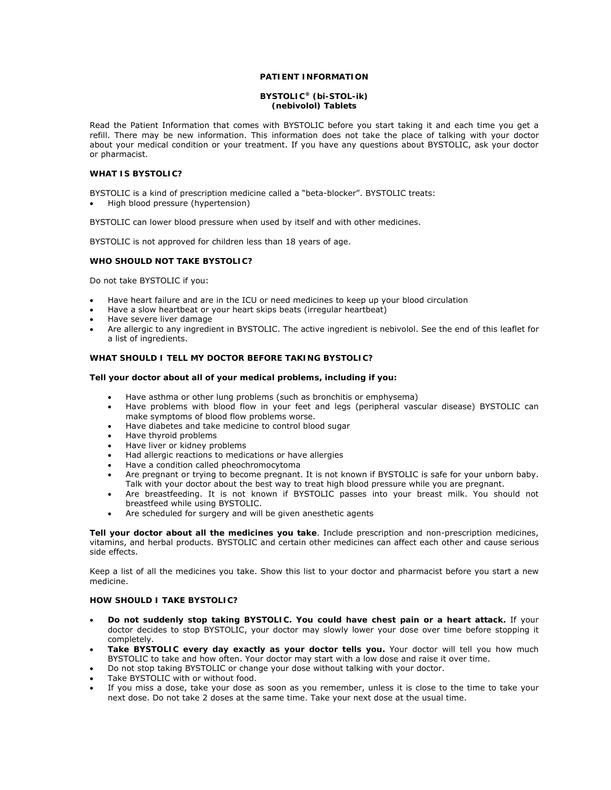# **PATIENT INFORMATION**

## **BYSTOLIC® (bi-STOL-ik) (nebivolol) Tablets**

Read the Patient Information that comes with BYSTOLIC before you start taking it and each time you get a refill. There may be new information. This information does not take the place of talking with your doctor about your medical condition or your treatment. If you have any questions about BYSTOLIC, ask your doctor or pharmacist.

# **WHAT IS BYSTOLIC?**

BYSTOLIC is a kind of prescription medicine called a "beta-blocker". BYSTOLIC treats:

High blood pressure (hypertension)

BYSTOLIC can lower blood pressure when used by itself and with other medicines.

BYSTOLIC is not approved for children less than 18 years of age.

## **WHO SHOULD NOT TAKE BYSTOLIC?**

Do not take BYSTOLIC if you:

- Have heart failure and are in the ICU or need medicines to keep up your blood circulation
- Have a slow heartbeat or your heart skips beats (irregular heartbeat)
- Have severe liver damage
- Are allergic to any ingredient in BYSTOLIC. The active ingredient is nebivolol. See the end of this leaflet for a list of ingredients.

# **WHAT SHOULD I TELL MY DOCTOR BEFORE TAKING BYSTOLIC?**

## **Tell your doctor about all of your medical problems, including if you:**

- Have asthma or other lung problems (such as bronchitis or emphysema)
- Have problems with blood flow in your feet and legs (peripheral vascular disease) BYSTOLIC can make symptoms of blood flow problems worse.
- Have diabetes and take medicine to control blood sugar
- Have thyroid problems
- Have liver or kidney problems
- Had allergic reactions to medications or have allergies
- Have a condition called pheochromocytoma
- Are pregnant or trying to become pregnant. It is not known if BYSTOLIC is safe for your unborn baby. Talk with your doctor about the best way to treat high blood pressure while you are pregnant.
- Are breastfeeding. It is not known if BYSTOLIC passes into your breast milk. You should not breastfeed while using BYSTOLIC.
- Are scheduled for surgery and will be given anesthetic agents

**Tell your doctor about all the medicines you take**. Include prescription and non-prescription medicines, vitamins, and herbal products. BYSTOLIC and certain other medicines can affect each other and cause serious side effects.

Keep a list of all the medicines you take. Show this list to your doctor and pharmacist before you start a new medicine.

# **HOW SHOULD I TAKE BYSTOLIC?**

- **Do not suddenly stop taking BYSTOLIC. You could have chest pain or a heart attack.** If your doctor decides to stop BYSTOLIC, your doctor may slowly lower your dose over time before stopping it completely.
- **Take BYSTOLIC every day exactly as your doctor tells you.** Your doctor will tell you how much BYSTOLIC to take and how often. Your doctor may start with a low dose and raise it over time.
- Do not stop taking BYSTOLIC or change your dose without talking with your doctor.
- Take BYSTOLIC with or without food.
- If you miss a dose, take your dose as soon as you remember, unless it is close to the time to take your next dose. Do not take 2 doses at the same time. Take your next dose at the usual time.